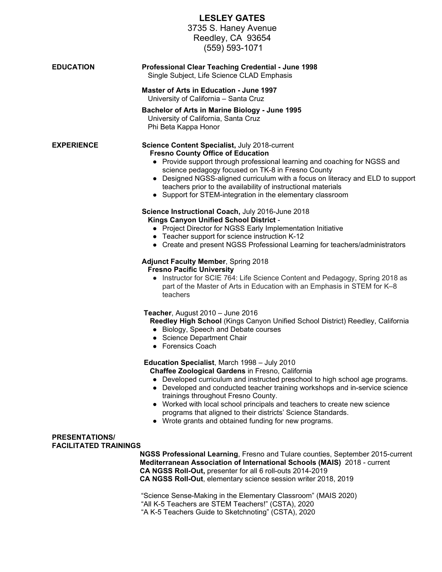## **LESLEY GATES**

3735 S. Haney Avenue Reedley, CA 93654 (559) 593-1071

| <b>EDUCATION</b>                                      | Professional Clear Teaching Credential - June 1998<br>Single Subject, Life Science CLAD Emphasis                                                                                                                                                                                                                                                                                                                                                                                                          |
|-------------------------------------------------------|-----------------------------------------------------------------------------------------------------------------------------------------------------------------------------------------------------------------------------------------------------------------------------------------------------------------------------------------------------------------------------------------------------------------------------------------------------------------------------------------------------------|
|                                                       | <b>Master of Arts in Education - June 1997</b><br>University of California - Santa Cruz                                                                                                                                                                                                                                                                                                                                                                                                                   |
|                                                       | Bachelor of Arts in Marine Biology - June 1995<br>University of California, Santa Cruz<br>Phi Beta Kappa Honor                                                                                                                                                                                                                                                                                                                                                                                            |
| <b>EXPERIENCE</b>                                     | Science Content Specialist, July 2018-current<br><b>Fresno County Office of Education</b><br>• Provide support through professional learning and coaching for NGSS and<br>science pedagogy focused on TK-8 in Fresno County<br>• Designed NGSS-aligned curriculum with a focus on literacy and ELD to support<br>teachers prior to the availability of instructional materials<br>• Support for STEM-integration in the elementary classroom                                                              |
|                                                       | Science Instructional Coach, July 2016-June 2018<br>Kings Canyon Unified School District -<br>• Project Director for NGSS Early Implementation Initiative<br>• Teacher support for science instruction K-12<br>• Create and present NGSS Professional Learning for teachers/administrators                                                                                                                                                                                                                |
|                                                       | <b>Adjunct Faculty Member, Spring 2018</b><br><b>Fresno Pacific University</b><br>• Instructor for SCIE 764: Life Science Content and Pedagogy, Spring 2018 as<br>part of the Master of Arts in Education with an Emphasis in STEM for K-8<br>teachers                                                                                                                                                                                                                                                    |
|                                                       | Teacher, August 2010 - June 2016<br>Reedley High School (Kings Canyon Unified School District) Reedley, California<br>• Biology, Speech and Debate courses<br>• Science Department Chair<br>• Forensics Coach                                                                                                                                                                                                                                                                                             |
|                                                       | Education Specialist, March 1998 - July 2010<br>Chaffee Zoological Gardens in Fresno, California<br>Developed curriculum and instructed preschool to high school age programs.<br>• Developed and conducted teacher training workshops and in-service science<br>trainings throughout Fresno County.<br>• Worked with local school principals and teachers to create new science<br>programs that aligned to their districts' Science Standards.<br>• Wrote grants and obtained funding for new programs. |
| <b>PRESENTATIONS/</b><br><b>FACILITATED TRAININGS</b> |                                                                                                                                                                                                                                                                                                                                                                                                                                                                                                           |
|                                                       | NGSS Professional Learning, Fresno and Tulare counties, September 2015-current<br>Mediterranean Association of International Schools (MAIS) 2018 - current<br>CA NGSS Roll-Out, presenter for all 6 roll-outs 2014-2019<br>CA NGSS Roll-Out, elementary science session writer 2018, 2019                                                                                                                                                                                                                 |
|                                                       | "Science Sense-Making in the Elementary Classroom" (MAIS 2020)                                                                                                                                                                                                                                                                                                                                                                                                                                            |

"All K-5 Teachers are STEM Teachers!" (CSTA), 2020 "A K-5 Teachers Guide to Sketchnoting" (CSTA), 2020